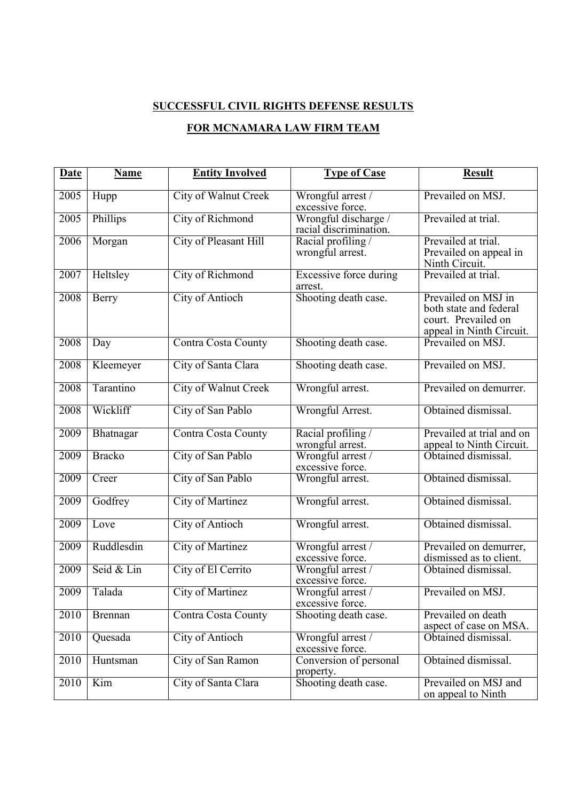## **SUCCESSFUL CIVIL RIGHTS DEFENSE RESULTS FOR MCNAMARA LAW FIRM TEAM**

| Date | <b>Name</b>    | <b>Entity Involved</b>      | <b>Type of Case</b>                            | <b>Result</b>                                                                                    |
|------|----------------|-----------------------------|------------------------------------------------|--------------------------------------------------------------------------------------------------|
| 2005 | Hupp           | <b>City of Walnut Creek</b> | Wrongful arrest /<br>excessive force.          | Prevailed on MSJ.                                                                                |
| 2005 | Phillips       | City of Richmond            | Wrongful discharge /<br>racial discrimination. | Prevailed at trial.                                                                              |
| 2006 | Morgan         | City of Pleasant Hill       | Racial profiling<br>wrongful arrest.           | Prevailed at trial.<br>Prevailed on appeal in<br>Ninth Circuit.                                  |
| 2007 | Heltsley       | City of Richmond            | <b>Excessive force during</b><br>arrest.       | Prevailed at trial.                                                                              |
| 2008 | Berry          | <b>City of Antioch</b>      | Shooting death case.                           | Prevailed on MSJ in<br>both state and federal<br>court. Prevailed on<br>appeal in Ninth Circuit. |
| 2008 | Day            | <b>Contra Costa County</b>  | Shooting death case.                           | Prevailed on MSJ.                                                                                |
| 2008 | Kleemeyer      | City of Santa Clara         | Shooting death case.                           | Prevailed on MSJ.                                                                                |
| 2008 | Tarantino      | City of Walnut Creek        | Wrongful arrest.                               | Prevailed on demurrer.                                                                           |
| 2008 | Wickliff       | City of San Pablo           | Wrongful Arrest.                               | Obtained dismissal.                                                                              |
| 2009 | Bhatnagar      | Contra Costa County         | Racial profiling/<br>wrongful arrest.          | Prevailed at trial and on<br>appeal to Ninth Circuit.                                            |
| 2009 | <b>Bracko</b>  | City of San Pablo           | Wrongful arrest /<br>excessive force.          | Obtained dismissal.                                                                              |
| 2009 | Creer          | City of San Pablo           | Wrongful arrest.                               | Obtained dismissal.                                                                              |
| 2009 | Godfrey        | City of Martinez            | Wrongful arrest.                               | Obtained dismissal.                                                                              |
| 2009 | Love           | <b>City of Antioch</b>      | Wrongful arrest.                               | Obtained dismissal.                                                                              |
| 2009 | Ruddlesdin     | <b>City of Martinez</b>     | Wrongful arrest /<br>excessive force.          | Prevailed on demurrer,<br>dismissed as to client.                                                |
| 2009 | Seid & Lin     | City of El Cerrito          | Wrongful arrest /<br>excessive force.          | Obtained dismissal.                                                                              |
| 2009 | Talada         | <b>City of Martinez</b>     | Wrongful arrest /<br>excessive force.          | Prevailed on MSJ                                                                                 |
| 2010 | <b>Brennan</b> | Contra Costa County         | Shooting death case.                           | Prevailed on death<br>aspect of case on MSA.                                                     |
| 2010 | Quesada        | <b>City of Antioch</b>      | Wrongful arrest /<br>excessive force.          | Obtained dismissal.                                                                              |
| 2010 | Huntsman       | City of San Ramon           | Conversion of personal<br>property.            | Obtained dismissal.                                                                              |
| 2010 | Kim            | City of Santa Clara         | Shooting death case.                           | Prevailed on MSJ and<br>on appeal to Ninth                                                       |